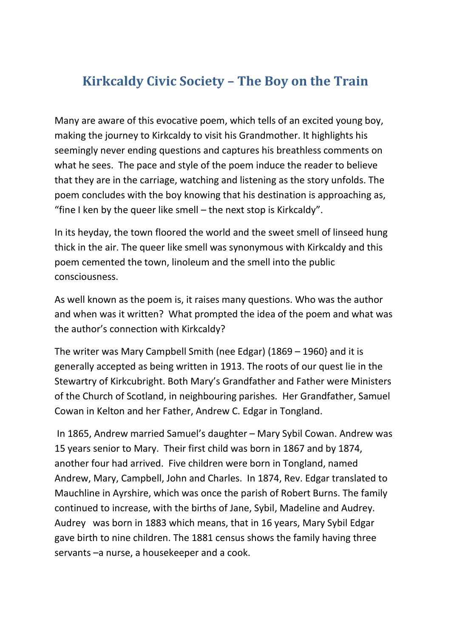## **Kirkcaldy Civic Society – The Boy on the Train**

Many are aware of this evocative poem, which tells of an excited young boy, making the journey to Kirkcaldy to visit his Grandmother. It highlights his seemingly never ending questions and captures his breathless comments on what he sees. The pace and style of the poem induce the reader to believe that they are in the carriage, watching and listening as the story unfolds. The poem concludes with the boy knowing that his destination is approaching as, "fine I ken by the queer like smell – the next stop is Kirkcaldy".

In its heyday, the town floored the world and the sweet smell of linseed hung thick in the air. The queer like smell was synonymous with Kirkcaldy and this poem cemented the town, linoleum and the smell into the public consciousness.

As well known as the poem is, it raises many questions. Who was the author and when was it written? What prompted the idea of the poem and what was the author's connection with Kirkcaldy?

The writer was Mary Campbell Smith (nee Edgar) (1869 – 1960} and it is generally accepted as being written in 1913. The roots of our quest lie in the Stewartry of Kirkcubright. Both Mary's Grandfather and Father were Ministers of the Church of Scotland, in neighbouring parishes. Her Grandfather, Samuel Cowan in Kelton and her Father, Andrew C. Edgar in Tongland.

In 1865, Andrew married Samuel's daughter – Mary Sybil Cowan. Andrew was 15 years senior to Mary. Their first child was born in 1867 and by 1874, another four had arrived. Five children were born in Tongland, named Andrew, Mary, Campbell, John and Charles. In 1874, Rev. Edgar translated to Mauchline in Ayrshire, which was once the parish of Robert Burns. The family continued to increase, with the births of Jane, Sybil, Madeline and Audrey. Audrey was born in 1883 which means, that in 16 years, Mary Sybil Edgar gave birth to nine children. The 1881 census shows the family having three servants –a nurse, a housekeeper and a cook.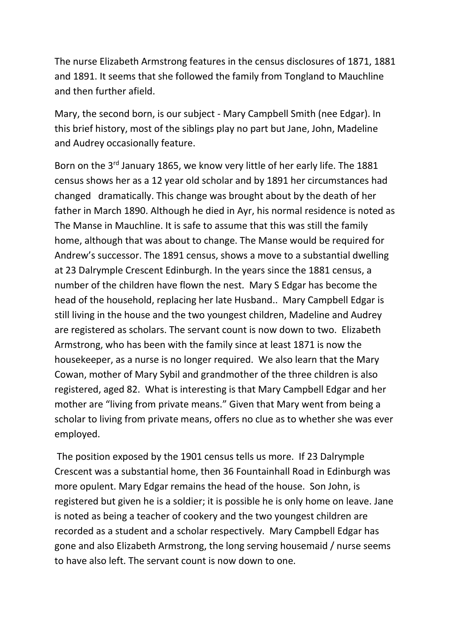The nurse Elizabeth Armstrong features in the census disclosures of 1871, 1881 and 1891. It seems that she followed the family from Tongland to Mauchline and then further afield.

Mary, the second born, is our subject - Mary Campbell Smith (nee Edgar). In this brief history, most of the siblings play no part but Jane, John, Madeline and Audrey occasionally feature.

Born on the 3<sup>rd</sup> January 1865, we know very little of her early life. The 1881 census shows her as a 12 year old scholar and by 1891 her circumstances had changed dramatically. This change was brought about by the death of her father in March 1890. Although he died in Ayr, his normal residence is noted as The Manse in Mauchline. It is safe to assume that this was still the family home, although that was about to change. The Manse would be required for Andrew's successor. The 1891 census, shows a move to a substantial dwelling at 23 Dalrymple Crescent Edinburgh. In the years since the 1881 census, a number of the children have flown the nest. Mary S Edgar has become the head of the household, replacing her late Husband.. Mary Campbell Edgar is still living in the house and the two youngest children, Madeline and Audrey are registered as scholars. The servant count is now down to two. Elizabeth Armstrong, who has been with the family since at least 1871 is now the housekeeper, as a nurse is no longer required. We also learn that the Mary Cowan, mother of Mary Sybil and grandmother of the three children is also registered, aged 82. What is interesting is that Mary Campbell Edgar and her mother are "living from private means." Given that Mary went from being a scholar to living from private means, offers no clue as to whether she was ever employed.

The position exposed by the 1901 census tells us more. If 23 Dalrymple Crescent was a substantial home, then 36 Fountainhall Road in Edinburgh was more opulent. Mary Edgar remains the head of the house. Son John, is registered but given he is a soldier; it is possible he is only home on leave. Jane is noted as being a teacher of cookery and the two youngest children are recorded as a student and a scholar respectively. Mary Campbell Edgar has gone and also Elizabeth Armstrong, the long serving housemaid / nurse seems to have also left. The servant count is now down to one.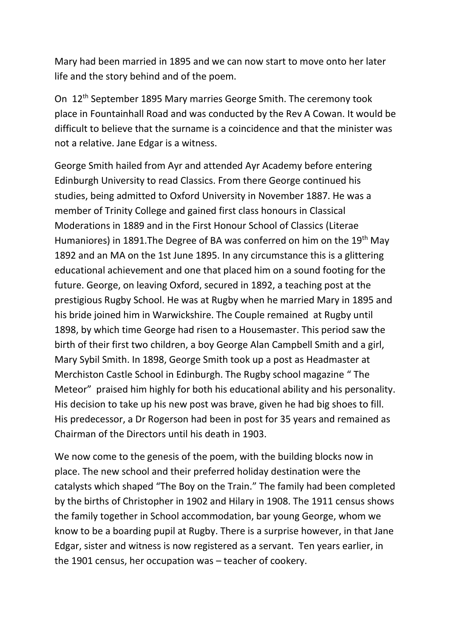Mary had been married in 1895 and we can now start to move onto her later life and the story behind and of the poem.

On 12th September 1895 Mary marries George Smith. The ceremony took place in Fountainhall Road and was conducted by the Rev A Cowan. It would be difficult to believe that the surname is a coincidence and that the minister was not a relative. Jane Edgar is a witness.

George Smith hailed from Ayr and attended Ayr Academy before entering Edinburgh University to read Classics. From there George continued his studies, being admitted to Oxford University in November 1887. He was a member of Trinity College and gained first class honours in Classical Moderations in 1889 and in the First Honour School of Classics (Literae Humaniores) in 1891. The Degree of BA was conferred on him on the 19<sup>th</sup> May 1892 and an MA on the 1st June 1895. In any circumstance this is a glittering educational achievement and one that placed him on a sound footing for the future. George, on leaving Oxford, secured in 1892, a teaching post at the prestigious Rugby School. He was at Rugby when he married Mary in 1895 and his bride joined him in Warwickshire. The Couple remained at Rugby until 1898, by which time George had risen to a Housemaster. This period saw the birth of their first two children, a boy George Alan Campbell Smith and a girl, Mary Sybil Smith. In 1898, George Smith took up a post as Headmaster at Merchiston Castle School in Edinburgh. The Rugby school magazine " The Meteor" praised him highly for both his educational ability and his personality. His decision to take up his new post was brave, given he had big shoes to fill. His predecessor, a Dr Rogerson had been in post for 35 years and remained as Chairman of the Directors until his death in 1903.

We now come to the genesis of the poem, with the building blocks now in place. The new school and their preferred holiday destination were the catalysts which shaped "The Boy on the Train." The family had been completed by the births of Christopher in 1902 and Hilary in 1908. The 1911 census shows the family together in School accommodation, bar young George, whom we know to be a boarding pupil at Rugby. There is a surprise however, in that Jane Edgar, sister and witness is now registered as a servant. Ten years earlier, in the 1901 census, her occupation was – teacher of cookery.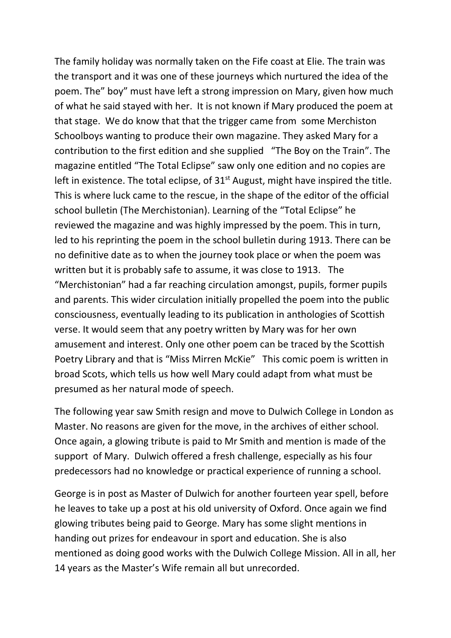The family holiday was normally taken on the Fife coast at Elie. The train was the transport and it was one of these journeys which nurtured the idea of the poem. The" boy" must have left a strong impression on Mary, given how much of what he said stayed with her. It is not known if Mary produced the poem at that stage. We do know that that the trigger came from some Merchiston Schoolboys wanting to produce their own magazine. They asked Mary for a contribution to the first edition and she supplied "The Boy on the Train". The magazine entitled "The Total Eclipse" saw only one edition and no copies are left in existence. The total eclipse, of  $31<sup>st</sup>$  August, might have inspired the title. This is where luck came to the rescue, in the shape of the editor of the official school bulletin (The Merchistonian). Learning of the "Total Eclipse" he reviewed the magazine and was highly impressed by the poem. This in turn, led to his reprinting the poem in the school bulletin during 1913. There can be no definitive date as to when the journey took place or when the poem was written but it is probably safe to assume, it was close to 1913. The "Merchistonian" had a far reaching circulation amongst, pupils, former pupils and parents. This wider circulation initially propelled the poem into the public consciousness, eventually leading to its publication in anthologies of Scottish verse. It would seem that any poetry written by Mary was for her own amusement and interest. Only one other poem can be traced by the Scottish Poetry Library and that is "Miss Mirren McKie" This comic poem is written in broad Scots, which tells us how well Mary could adapt from what must be presumed as her natural mode of speech.

The following year saw Smith resign and move to Dulwich College in London as Master. No reasons are given for the move, in the archives of either school. Once again, a glowing tribute is paid to Mr Smith and mention is made of the support of Mary. Dulwich offered a fresh challenge, especially as his four predecessors had no knowledge or practical experience of running a school.

George is in post as Master of Dulwich for another fourteen year spell, before he leaves to take up a post at his old university of Oxford. Once again we find glowing tributes being paid to George. Mary has some slight mentions in handing out prizes for endeavour in sport and education. She is also mentioned as doing good works with the Dulwich College Mission. All in all, her 14 years as the Master's Wife remain all but unrecorded.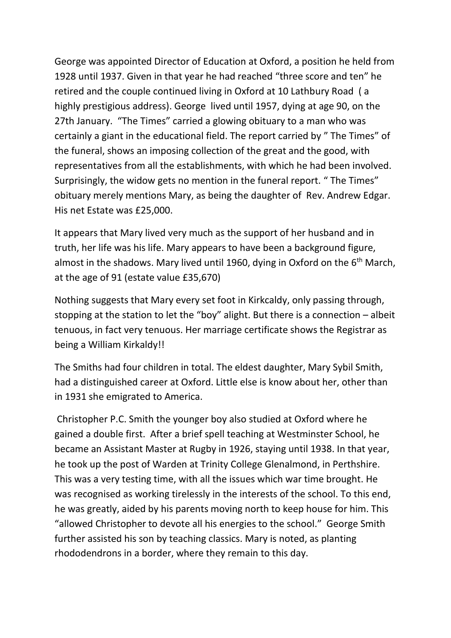George was appointed Director of Education at Oxford, a position he held from 1928 until 1937. Given in that year he had reached "three score and ten" he retired and the couple continued living in Oxford at 10 Lathbury Road ( a highly prestigious address). George lived until 1957, dying at age 90, on the 27th January. "The Times" carried a glowing obituary to a man who was certainly a giant in the educational field. The report carried by " The Times" of the funeral, shows an imposing collection of the great and the good, with representatives from all the establishments, with which he had been involved. Surprisingly, the widow gets no mention in the funeral report. " The Times" obituary merely mentions Mary, as being the daughter of Rev. Andrew Edgar. His net Estate was £25,000.

It appears that Mary lived very much as the support of her husband and in truth, her life was his life. Mary appears to have been a background figure, almost in the shadows. Mary lived until 1960, dying in Oxford on the 6<sup>th</sup> March, at the age of 91 (estate value £35,670)

Nothing suggests that Mary every set foot in Kirkcaldy, only passing through, stopping at the station to let the "boy" alight. But there is a connection – albeit tenuous, in fact very tenuous. Her marriage certificate shows the Registrar as being a William Kirkaldy!!

The Smiths had four children in total. The eldest daughter, Mary Sybil Smith, had a distinguished career at Oxford. Little else is know about her, other than in 1931 she emigrated to America.

Christopher P.C. Smith the younger boy also studied at Oxford where he gained a double first. After a brief spell teaching at Westminster School, he became an Assistant Master at Rugby in 1926, staying until 1938. In that year, he took up the post of Warden at Trinity College Glenalmond, in Perthshire. This was a very testing time, with all the issues which war time brought. He was recognised as working tirelessly in the interests of the school. To this end, he was greatly, aided by his parents moving north to keep house for him. This "allowed Christopher to devote all his energies to the school." George Smith further assisted his son by teaching classics. Mary is noted, as planting rhododendrons in a border, where they remain to this day.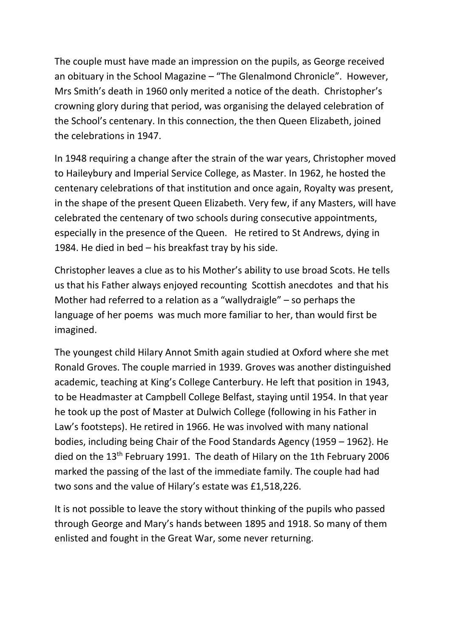The couple must have made an impression on the pupils, as George received an obituary in the School Magazine – "The Glenalmond Chronicle". However, Mrs Smith's death in 1960 only merited a notice of the death. Christopher's crowning glory during that period, was organising the delayed celebration of the School's centenary. In this connection, the then Queen Elizabeth, joined the celebrations in 1947.

In 1948 requiring a change after the strain of the war years, Christopher moved to Haileybury and Imperial Service College, as Master. In 1962, he hosted the centenary celebrations of that institution and once again, Royalty was present, in the shape of the present Queen Elizabeth. Very few, if any Masters, will have celebrated the centenary of two schools during consecutive appointments, especially in the presence of the Queen. He retired to St Andrews, dying in 1984. He died in bed – his breakfast tray by his side.

Christopher leaves a clue as to his Mother's ability to use broad Scots. He tells us that his Father always enjoyed recounting Scottish anecdotes and that his Mother had referred to a relation as a "wallydraigle" – so perhaps the language of her poems was much more familiar to her, than would first be imagined.

The youngest child Hilary Annot Smith again studied at Oxford where she met Ronald Groves. The couple married in 1939. Groves was another distinguished academic, teaching at King's College Canterbury. He left that position in 1943, to be Headmaster at Campbell College Belfast, staying until 1954. In that year he took up the post of Master at Dulwich College (following in his Father in Law's footsteps). He retired in 1966. He was involved with many national bodies, including being Chair of the Food Standards Agency (1959 – 1962}. He died on the 13<sup>th</sup> February 1991. The death of Hilary on the 1th February 2006 marked the passing of the last of the immediate family. The couple had had two sons and the value of Hilary's estate was £1,518,226.

It is not possible to leave the story without thinking of the pupils who passed through George and Mary's hands between 1895 and 1918. So many of them enlisted and fought in the Great War, some never returning.